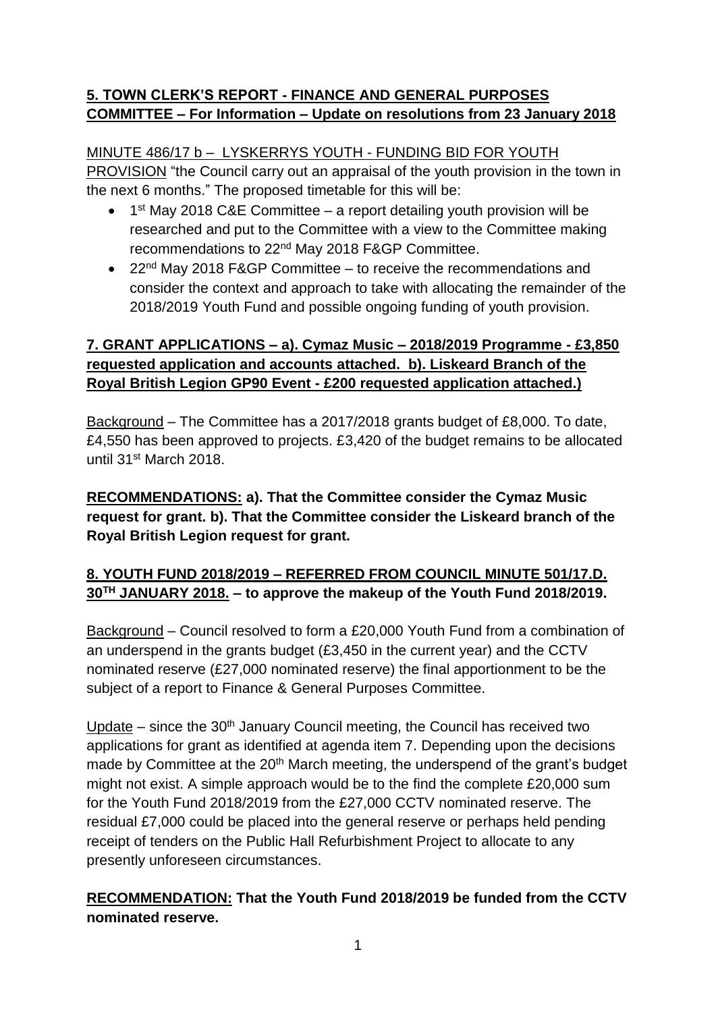## **5. TOWN CLERK'S REPORT - FINANCE AND GENERAL PURPOSES COMMITTEE – For Information – Update on resolutions from 23 January 2018**

## MINUTE 486/17 b – LYSKERRYS YOUTH - FUNDING BID FOR YOUTH

PROVISION "the Council carry out an appraisal of the youth provision in the town in the next 6 months." The proposed timetable for this will be:

- $\bullet$  1<sup>st</sup> May 2018 C&E Committee a report detailing youth provision will be researched and put to the Committee with a view to the Committee making recommendations to 22nd May 2018 F&GP Committee.
- 22 $^{nd}$  May 2018 F&GP Committee to receive the recommendations and consider the context and approach to take with allocating the remainder of the 2018/2019 Youth Fund and possible ongoing funding of youth provision.

## **7. GRANT APPLICATIONS – a). Cymaz Music – 2018/2019 Programme - £3,850 requested application and accounts attached. b). Liskeard Branch of the Royal British Legion GP90 Event - £200 requested application attached.)**

Background – The Committee has a 2017/2018 grants budget of £8,000. To date, £4,550 has been approved to projects. £3,420 of the budget remains to be allocated until 31st March 2018.

## **RECOMMENDATIONS: a). That the Committee consider the Cymaz Music request for grant. b). That the Committee consider the Liskeard branch of the Royal British Legion request for grant.**

# **8. YOUTH FUND 2018/2019 – REFERRED FROM COUNCIL MINUTE 501/17.D. 30TH JANUARY 2018. – to approve the makeup of the Youth Fund 2018/2019.**

Background – Council resolved to form a £20,000 Youth Fund from a combination of an underspend in the grants budget (£3,450 in the current year) and the CCTV nominated reserve (£27,000 nominated reserve) the final apportionment to be the subject of a report to Finance & General Purposes Committee.

Update – since the  $30<sup>th</sup>$  January Council meeting, the Council has received two applications for grant as identified at agenda item 7. Depending upon the decisions made by Committee at the 20<sup>th</sup> March meeting, the underspend of the grant's budget might not exist. A simple approach would be to the find the complete £20,000 sum for the Youth Fund 2018/2019 from the £27,000 CCTV nominated reserve. The residual £7,000 could be placed into the general reserve or perhaps held pending receipt of tenders on the Public Hall Refurbishment Project to allocate to any presently unforeseen circumstances.

## **RECOMMENDATION: That the Youth Fund 2018/2019 be funded from the CCTV nominated reserve.**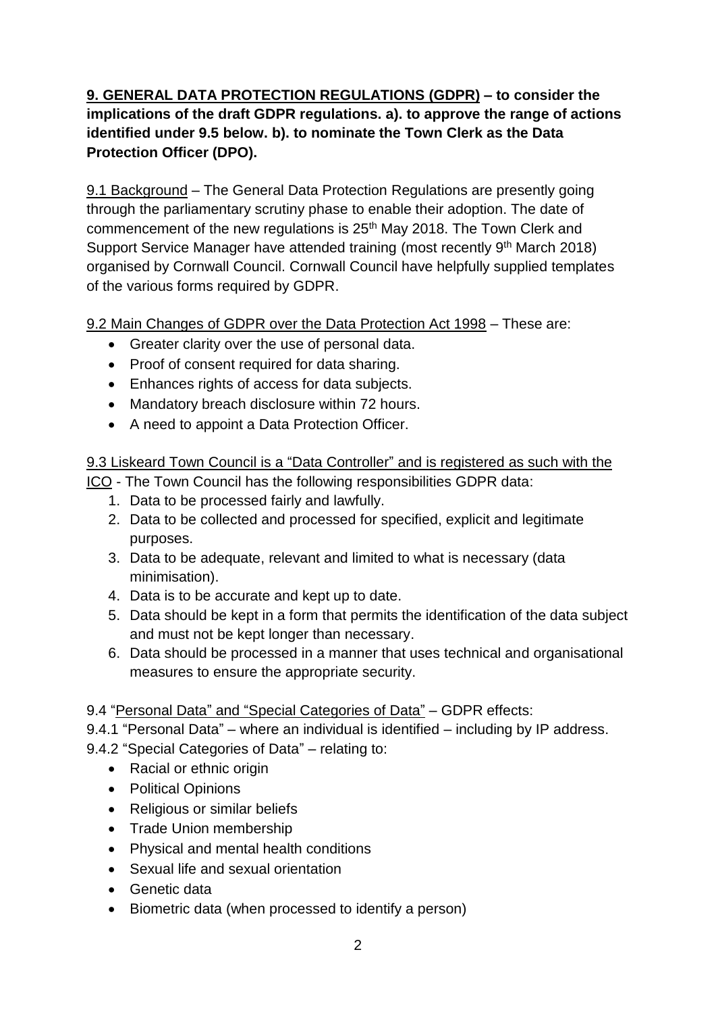**9. GENERAL DATA PROTECTION REGULATIONS (GDPR) – to consider the implications of the draft GDPR regulations. a). to approve the range of actions identified under 9.5 below. b). to nominate the Town Clerk as the Data Protection Officer (DPO).**

9.1 Background – The General Data Protection Regulations are presently going through the parliamentary scrutiny phase to enable their adoption. The date of commencement of the new regulations is 25<sup>th</sup> May 2018. The Town Clerk and Support Service Manager have attended training (most recently 9<sup>th</sup> March 2018) organised by Cornwall Council. Cornwall Council have helpfully supplied templates of the various forms required by GDPR.

9.2 Main Changes of GDPR over the Data Protection Act 1998 – These are:

- Greater clarity over the use of personal data.
- Proof of consent required for data sharing.
- Enhances rights of access for data subjects.
- Mandatory breach disclosure within 72 hours.
- A need to appoint a Data Protection Officer.

9.3 Liskeard Town Council is a "Data Controller" and is registered as such with the

- ICO The Town Council has the following responsibilities GDPR data:
	- 1. Data to be processed fairly and lawfully.
	- 2. Data to be collected and processed for specified, explicit and legitimate purposes.
	- 3. Data to be adequate, relevant and limited to what is necessary (data minimisation).
	- 4. Data is to be accurate and kept up to date.
	- 5. Data should be kept in a form that permits the identification of the data subject and must not be kept longer than necessary.
	- 6. Data should be processed in a manner that uses technical and organisational measures to ensure the appropriate security.

9.4 "Personal Data" and "Special Categories of Data" – GDPR effects:

9.4.1 "Personal Data" – where an individual is identified – including by IP address.

- 9.4.2 "Special Categories of Data" relating to:
	- Racial or ethnic origin
	- Political Opinions
	- Religious or similar beliefs
	- Trade Union membership
	- Physical and mental health conditions
	- Sexual life and sexual orientation
	- Genetic data
	- Biometric data (when processed to identify a person)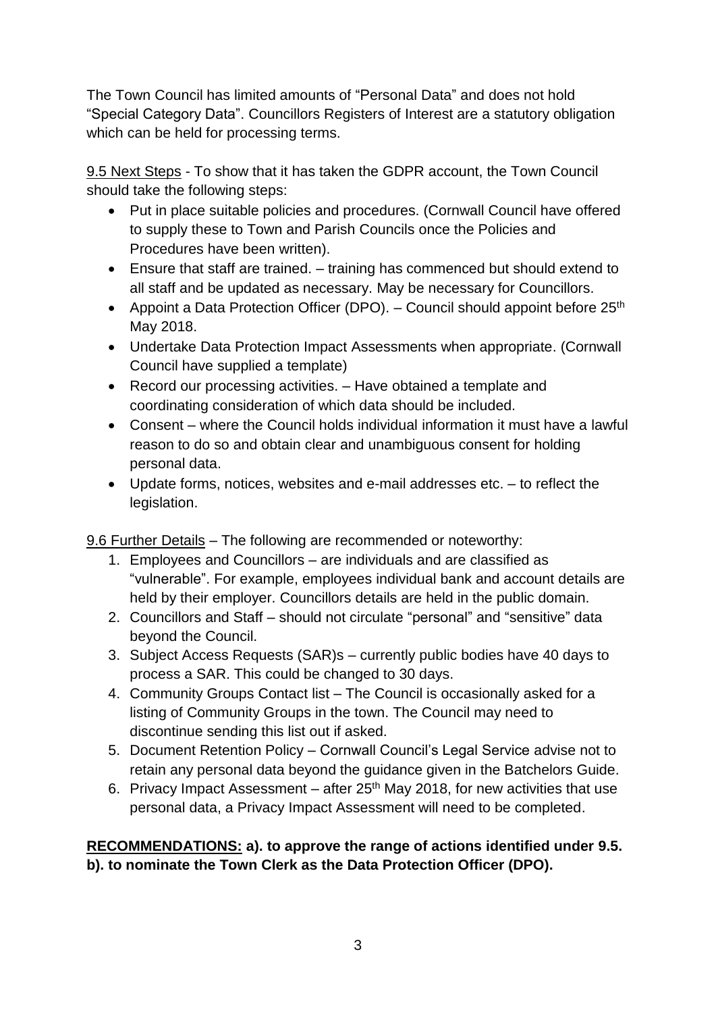The Town Council has limited amounts of "Personal Data" and does not hold "Special Category Data". Councillors Registers of Interest are a statutory obligation which can be held for processing terms.

9.5 Next Steps - To show that it has taken the GDPR account, the Town Council should take the following steps:

- Put in place suitable policies and procedures. (Cornwall Council have offered to supply these to Town and Parish Councils once the Policies and Procedures have been written).
- Ensure that staff are trained. training has commenced but should extend to all staff and be updated as necessary. May be necessary for Councillors.
- Appoint a Data Protection Officer (DPO).  $-$  Council should appoint before 25<sup>th</sup> May 2018.
- Undertake Data Protection Impact Assessments when appropriate. (Cornwall Council have supplied a template)
- Record our processing activities. Have obtained a template and coordinating consideration of which data should be included.
- Consent where the Council holds individual information it must have a lawful reason to do so and obtain clear and unambiguous consent for holding personal data.
- Update forms, notices, websites and e-mail addresses etc. to reflect the legislation.

9.6 Further Details – The following are recommended or noteworthy:

- 1. Employees and Councillors are individuals and are classified as "vulnerable". For example, employees individual bank and account details are held by their employer. Councillors details are held in the public domain.
- 2. Councillors and Staff should not circulate "personal" and "sensitive" data beyond the Council.
- 3. Subject Access Requests (SAR)s currently public bodies have 40 days to process a SAR. This could be changed to 30 days.
- 4. Community Groups Contact list The Council is occasionally asked for a listing of Community Groups in the town. The Council may need to discontinue sending this list out if asked.
- 5. Document Retention Policy Cornwall Council's Legal Service advise not to retain any personal data beyond the guidance given in the Batchelors Guide.
- 6. Privacy Impact Assessment after  $25<sup>th</sup>$  May 2018, for new activities that use personal data, a Privacy Impact Assessment will need to be completed.

## **RECOMMENDATIONS: a). to approve the range of actions identified under 9.5. b). to nominate the Town Clerk as the Data Protection Officer (DPO).**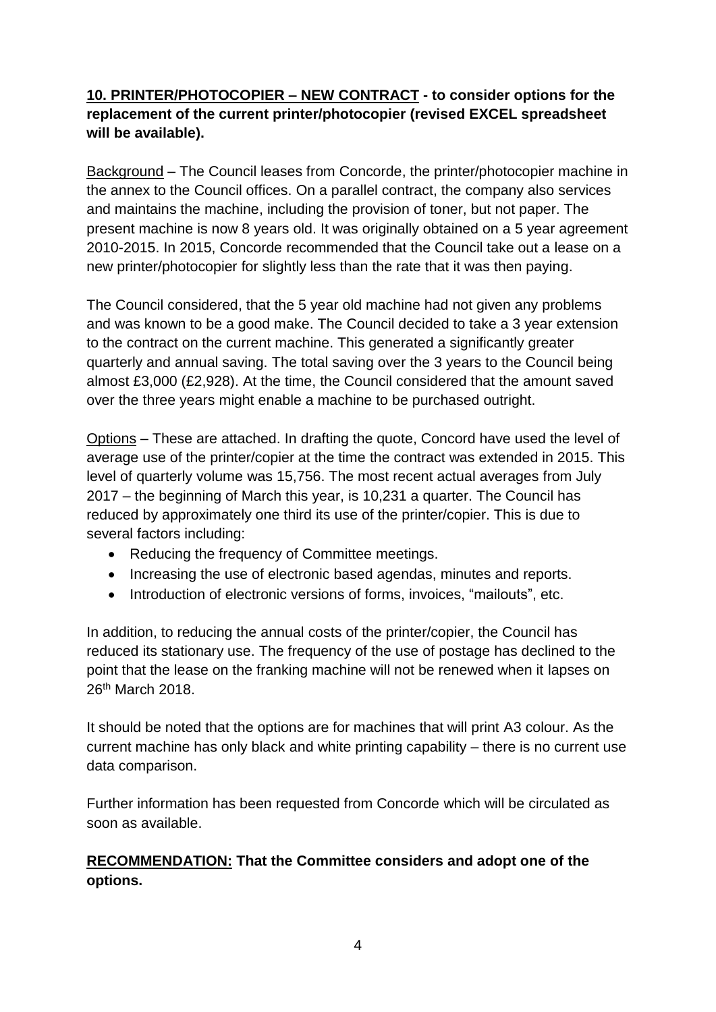### **10. PRINTER/PHOTOCOPIER – NEW CONTRACT - to consider options for the replacement of the current printer/photocopier (revised EXCEL spreadsheet will be available).**

Background – The Council leases from Concorde, the printer/photocopier machine in the annex to the Council offices. On a parallel contract, the company also services and maintains the machine, including the provision of toner, but not paper. The present machine is now 8 years old. It was originally obtained on a 5 year agreement 2010-2015. In 2015, Concorde recommended that the Council take out a lease on a new printer/photocopier for slightly less than the rate that it was then paying.

The Council considered, that the 5 year old machine had not given any problems and was known to be a good make. The Council decided to take a 3 year extension to the contract on the current machine. This generated a significantly greater quarterly and annual saving. The total saving over the 3 years to the Council being almost £3,000 (£2,928). At the time, the Council considered that the amount saved over the three years might enable a machine to be purchased outright.

Options – These are attached. In drafting the quote, Concord have used the level of average use of the printer/copier at the time the contract was extended in 2015. This level of quarterly volume was 15,756. The most recent actual averages from July 2017 – the beginning of March this year, is 10,231 a quarter. The Council has reduced by approximately one third its use of the printer/copier. This is due to several factors including:

- Reducing the frequency of Committee meetings.
- Increasing the use of electronic based agendas, minutes and reports.
- Introduction of electronic versions of forms, invoices, "mailouts", etc.

In addition, to reducing the annual costs of the printer/copier, the Council has reduced its stationary use. The frequency of the use of postage has declined to the point that the lease on the franking machine will not be renewed when it lapses on 26th March 2018.

It should be noted that the options are for machines that will print A3 colour. As the current machine has only black and white printing capability – there is no current use data comparison.

Further information has been requested from Concorde which will be circulated as soon as available.

#### **RECOMMENDATION: That the Committee considers and adopt one of the options.**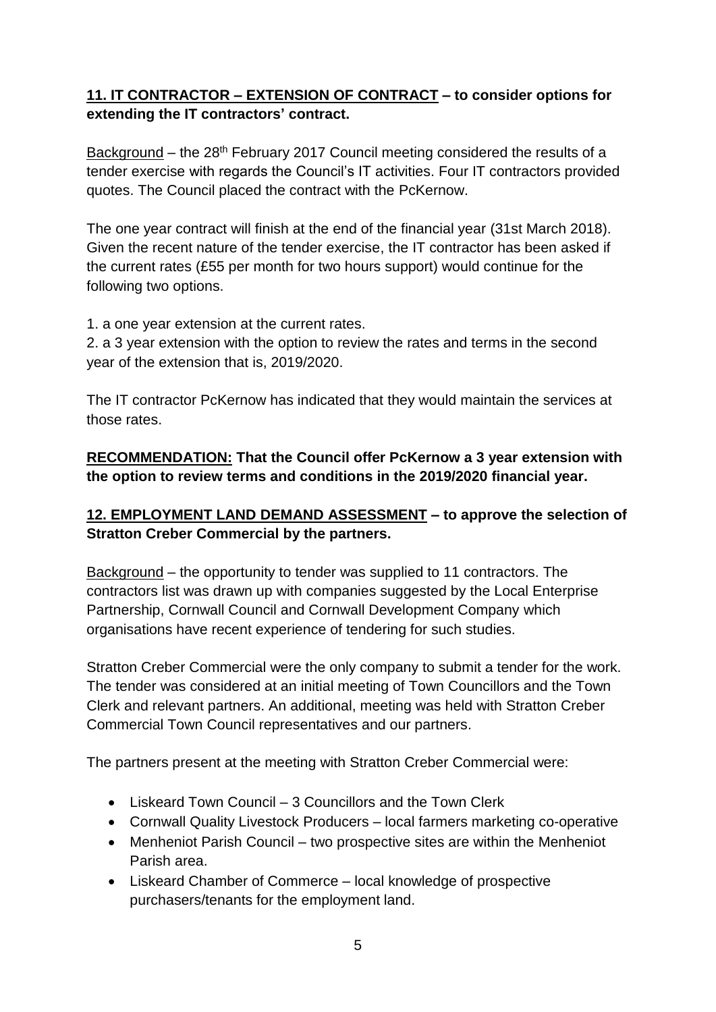## **11. IT CONTRACTOR – EXTENSION OF CONTRACT – to consider options for extending the IT contractors' contract.**

Background - the 28<sup>th</sup> February 2017 Council meeting considered the results of a tender exercise with regards the Council's IT activities. Four IT contractors provided quotes. The Council placed the contract with the PcKernow.

The one year contract will finish at the end of the financial year (31st March 2018). Given the recent nature of the tender exercise, the IT contractor has been asked if the current rates (£55 per month for two hours support) would continue for the following two options.

1. a one year extension at the current rates.

2. a 3 year extension with the option to review the rates and terms in the second year of the extension that is, 2019/2020.

The IT contractor PcKernow has indicated that they would maintain the services at those rates.

## **RECOMMENDATION: That the Council offer PcKernow a 3 year extension with the option to review terms and conditions in the 2019/2020 financial year.**

## **12. EMPLOYMENT LAND DEMAND ASSESSMENT – to approve the selection of Stratton Creber Commercial by the partners.**

Background – the opportunity to tender was supplied to 11 contractors. The contractors list was drawn up with companies suggested by the Local Enterprise Partnership, Cornwall Council and Cornwall Development Company which organisations have recent experience of tendering for such studies.

Stratton Creber Commercial were the only company to submit a tender for the work. The tender was considered at an initial meeting of Town Councillors and the Town Clerk and relevant partners. An additional, meeting was held with Stratton Creber Commercial Town Council representatives and our partners.

The partners present at the meeting with Stratton Creber Commercial were:

- Liskeard Town Council 3 Councillors and the Town Clerk
- Cornwall Quality Livestock Producers local farmers marketing co-operative
- Menheniot Parish Council two prospective sites are within the Menheniot Parish area.
- Liskeard Chamber of Commerce local knowledge of prospective purchasers/tenants for the employment land.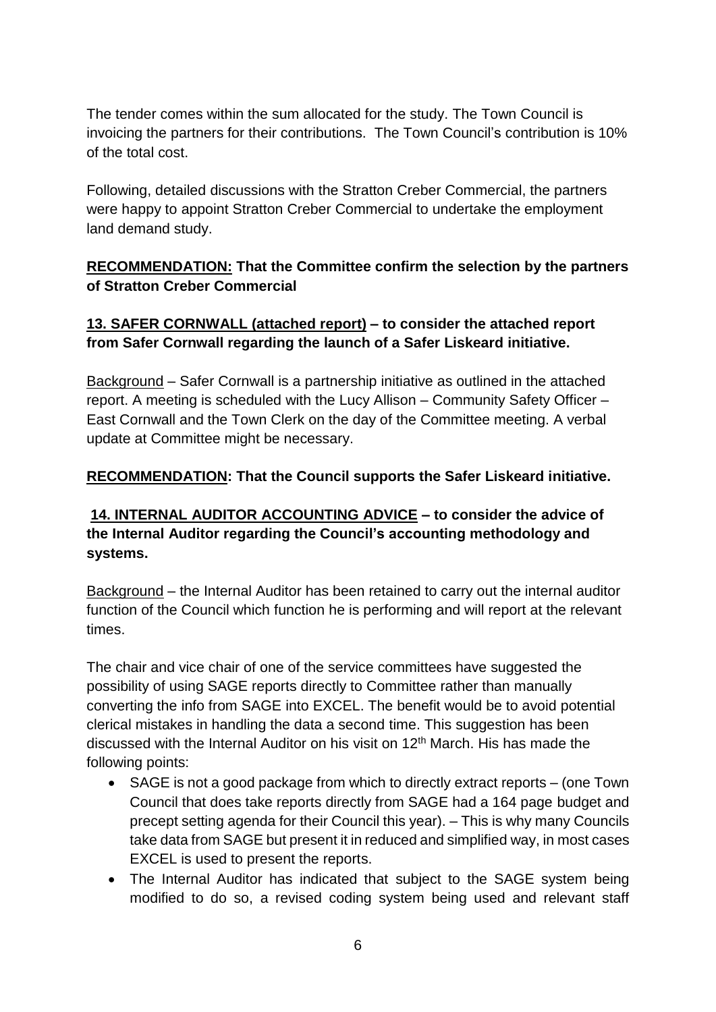The tender comes within the sum allocated for the study. The Town Council is invoicing the partners for their contributions. The Town Council's contribution is 10% of the total cost.

Following, detailed discussions with the Stratton Creber Commercial, the partners were happy to appoint Stratton Creber Commercial to undertake the employment land demand study.

#### **RECOMMENDATION: That the Committee confirm the selection by the partners of Stratton Creber Commercial**

#### **13. SAFER CORNWALL (attached report) – to consider the attached report from Safer Cornwall regarding the launch of a Safer Liskeard initiative.**

Background – Safer Cornwall is a partnership initiative as outlined in the attached report. A meeting is scheduled with the Lucy Allison – Community Safety Officer – East Cornwall and the Town Clerk on the day of the Committee meeting. A verbal update at Committee might be necessary.

#### **RECOMMENDATION: That the Council supports the Safer Liskeard initiative.**

#### **14. INTERNAL AUDITOR ACCOUNTING ADVICE – to consider the advice of the Internal Auditor regarding the Council's accounting methodology and systems.**

Background – the Internal Auditor has been retained to carry out the internal auditor function of the Council which function he is performing and will report at the relevant times.

The chair and vice chair of one of the service committees have suggested the possibility of using SAGE reports directly to Committee rather than manually converting the info from SAGE into EXCEL. The benefit would be to avoid potential clerical mistakes in handling the data a second time. This suggestion has been discussed with the Internal Auditor on his visit on 12<sup>th</sup> March. His has made the following points:

- SAGE is not a good package from which to directly extract reports (one Town Council that does take reports directly from SAGE had a 164 page budget and precept setting agenda for their Council this year). – This is why many Councils take data from SAGE but present it in reduced and simplified way, in most cases EXCEL is used to present the reports.
- The Internal Auditor has indicated that subject to the SAGE system being modified to do so, a revised coding system being used and relevant staff